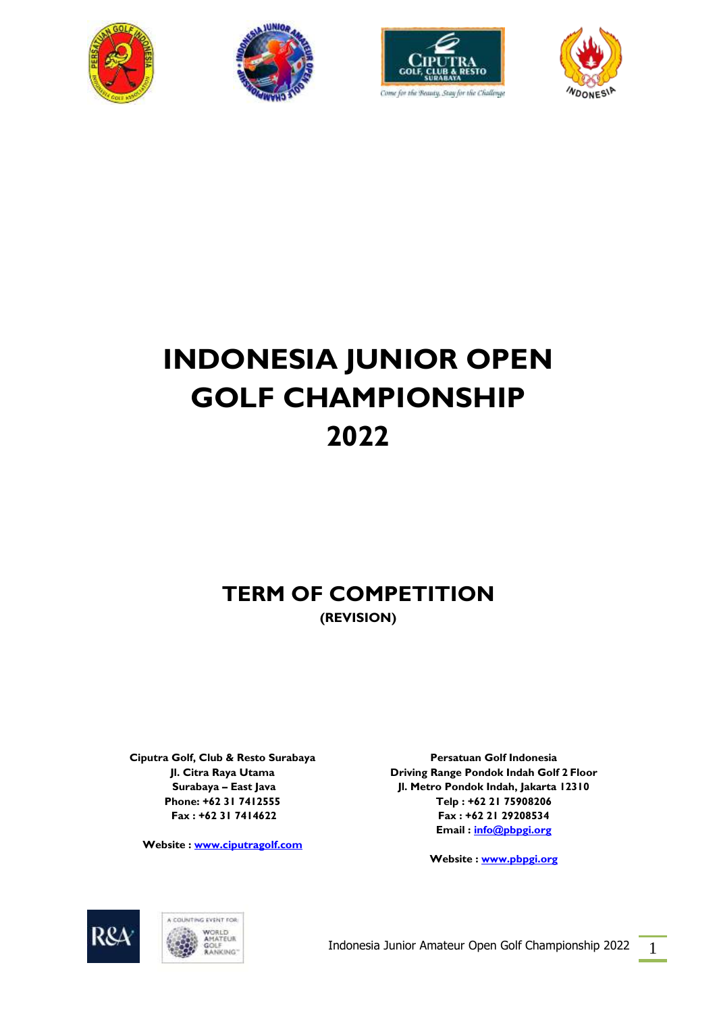







# **INDONESIA JUNIOR OPEN GOLF CHAMPIONSHIP 2022**

# **TERM OF COMPETITION (REVISION)**

**Ciputra Golf, Club & Resto Surabaya Jl. Citra Raya Utama Surabaya – East Java Phone: +62 31 7412555 Fax : +62 31 7414622**

**Website [: www.ciputragolf.com](http://www.ciputragolf.com/)**

**Persatuan Golf Indonesia Driving Range Pondok Indah Golf 2 Floor Jl. Metro Pondok Indah, Jakarta 12310 Telp : +62 21 75908206 Fax : +62 21 29208534 Email : [info@pbpgi.org](mailto:info@pbpgi.org)**

**Website : [www.pbpgi.org](http://www.pbpgi.org/)**



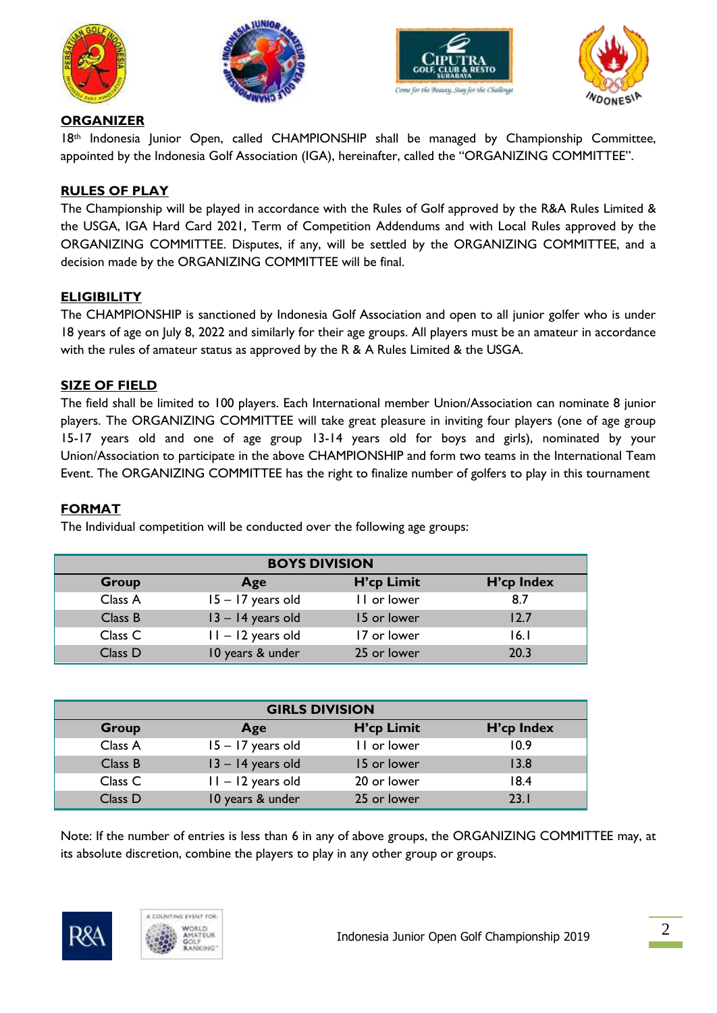







#### **ORGANIZER**

18th Indonesia Junior Open, called CHAMPIONSHIP shall be managed by Championship Committee, appointed by the Indonesia Golf Association (IGA), hereinafter, called the "ORGANIZING COMMITTEE".

# **RULES OF PLAY**

The Championship will be played in accordance with the Rules of Golf approved by the R&A Rules Limited & the USGA, IGA Hard Card 2021, Term of Competition Addendums and with Local Rules approved by the ORGANIZING COMMITTEE. Disputes, if any, will be settled by the ORGANIZING COMMITTEE, and a decision made by the ORGANIZING COMMITTEE will be final.

# **ELIGIBILITY**

The CHAMPIONSHIP is sanctioned by Indonesia Golf Association and open to all junior golfer who is under 18 years of age on July 8, 2022 and similarly for their age groups. All players must be an amateur in accordance with the rules of amateur status as approved by the R & A Rules Limited & the USGA.

#### **SIZE OF FIELD**

The field shall be limited to 100 players. Each International member Union/Association can nominate 8 junior players. The ORGANIZING COMMITTEE will take great pleasure in inviting four players (one of age group 15-17 years old and one of age group 13-14 years old for boys and girls), nominated by your Union/Association to participate in the above CHAMPIONSHIP and form two teams in the International Team Event. The ORGANIZING COMMITTEE has the right to finalize number of golfers to play in this tournament

#### **FORMAT**

The Individual competition will be conducted over the following age groups:

| <b>BOYS DIVISION</b> |                     |             |            |  |  |
|----------------------|---------------------|-------------|------------|--|--|
| Group                | Age                 | H'cp Limit  | H'cp Index |  |  |
| Class A              | $15 - 17$ years old | II or lower | 8.7        |  |  |
| Class B              | $13 - 14$ years old | 15 or lower | 12.7       |  |  |
| Class <sub>C</sub>   | $11 - 12$ years old | 17 or lower | 16.I       |  |  |
| Class D              | 10 years & under    | 25 or lower | 20.3       |  |  |

| <b>GIRLS DIVISION</b> |                     |             |            |  |  |
|-----------------------|---------------------|-------------|------------|--|--|
| <b>Group</b>          | Age                 | H'cp Limit  | H'cp Index |  |  |
| Class A               | 15 - 17 years old   | II or lower | 10.9       |  |  |
| Class B               | $13 - 14$ years old | 15 or lower | 13.8       |  |  |
| Class <sub>C</sub>    | $11 - 12$ years old | 20 or lower | 18.4       |  |  |
| Class D               | 10 years & under    | 25 or lower | 23.1       |  |  |

Note: If the number of entries is less than 6 in any of above groups, the ORGANIZING COMMITTEE may, at its absolute discretion, combine the players to play in any other group or groups.



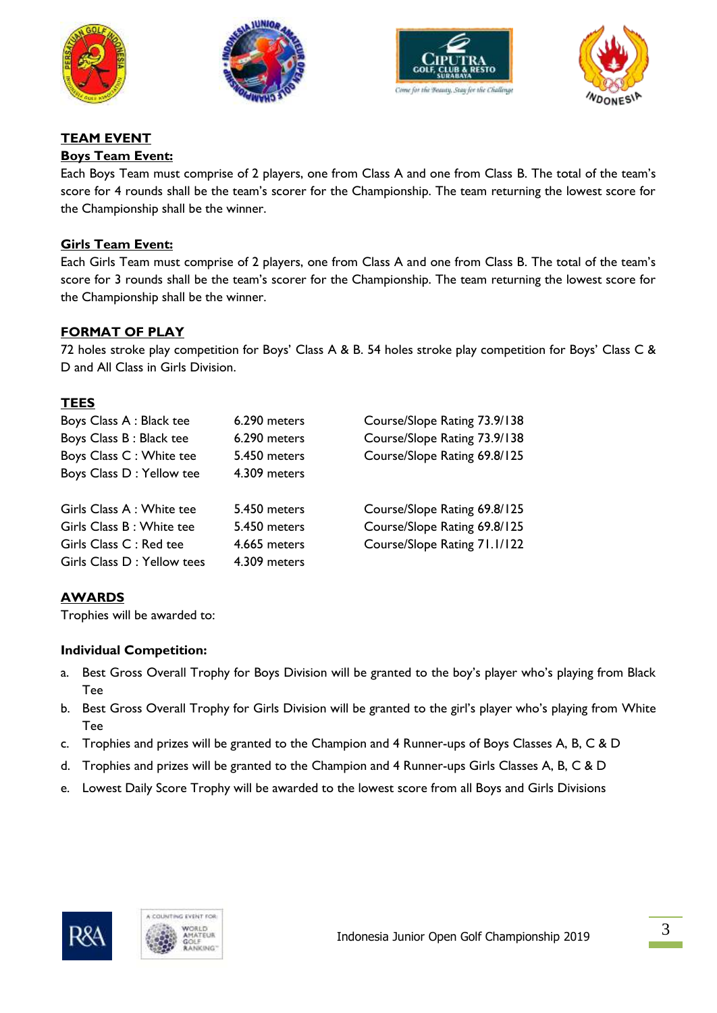







# **TEAM EVENT**

#### **Boys Team Event:**

Each Boys Team must comprise of 2 players, one from Class A and one from Class B. The total of the team's score for 4 rounds shall be the team's scorer for the Championship. The team returning the lowest score for the Championship shall be the winner.

#### **Girls Team Event:**

Each Girls Team must comprise of 2 players, one from Class A and one from Class B. The total of the team's score for 3 rounds shall be the team's scorer for the Championship. The team returning the lowest score for the Championship shall be the winner.

# **FORMAT OF PLAY**

72 holes stroke play competition for Boys' Class A & B. 54 holes stroke play competition for Boys' Class C & D and All Class in Girls Division.

#### **TEES**

| Boys Class A : Black tee    | 6.290 meters | Course/Slope Rating 73.9/138 |
|-----------------------------|--------------|------------------------------|
| Boys Class B: Black tee     | 6.290 meters | Course/Slope Rating 73.9/138 |
| Boys Class C : White tee    | 5.450 meters | Course/Slope Rating 69.8/125 |
| Boys Class D : Yellow tee   | 4.309 meters |                              |
| Girls Class A : White tee   | 5.450 meters | Course/Slope Rating 69.8/125 |
| Girls Class B: White tee    | 5.450 meters | Course/Slope Rating 69.8/125 |
| Girls Class C: Red tee      | 4.665 meters | Course/Slope Rating 71.1/122 |
| Girls Class D : Yellow tees | 4.309 meters |                              |

# **AWARDS**

Trophies will be awarded to:

#### **Individual Competition:**

- a. Best Gross Overall Trophy for Boys Division will be granted to the boy's player who's playing from Black Tee
- b. Best Gross Overall Trophy for Girls Division will be granted to the girl's player who's playing from White Tee
- c. Trophies and prizes will be granted to the Champion and 4 Runner-ups of Boys Classes A, B, C & D
- d. Trophies and prizes will be granted to the Champion and 4 Runner-ups Girls Classes A, B, C & D
- e. Lowest Daily Score Trophy will be awarded to the lowest score from all Boys and Girls Divisions



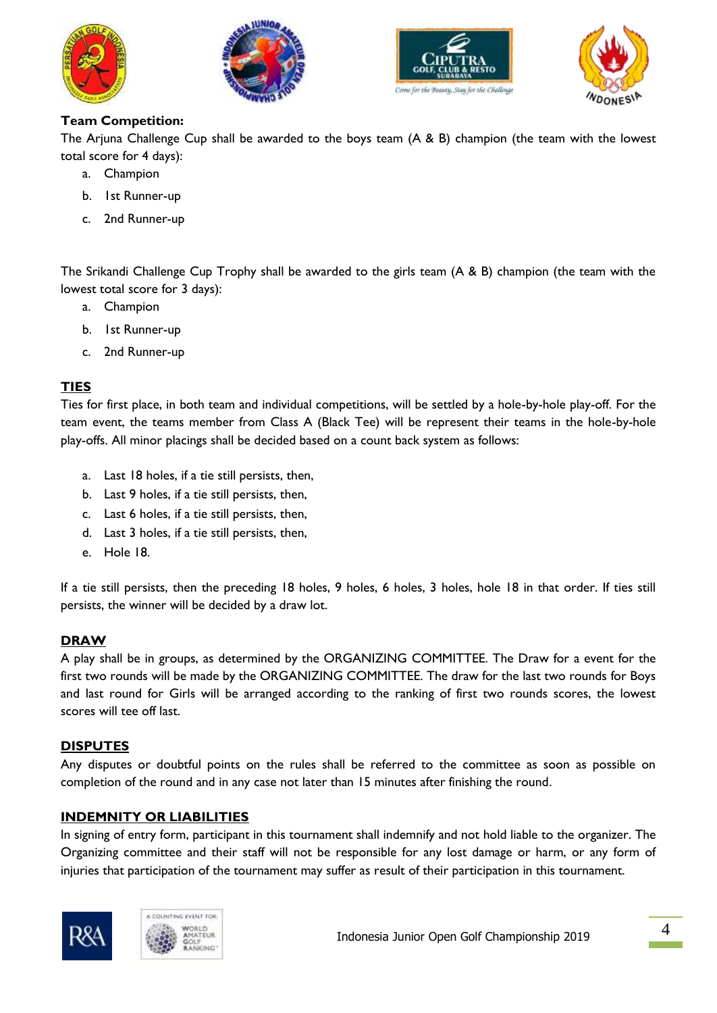







# **Team Competition:**

The Arjuna Challenge Cup shall be awarded to the boys team (A & B) champion (the team with the lowest total score for 4 days):

- a. Champion
- b. 1st Runner-up
- c. 2nd Runner-up

The Srikandi Challenge Cup Trophy shall be awarded to the girls team (A & B) champion (the team with the lowest total score for 3 days):

- a. Champion
- b. 1st Runner-up
- c. 2nd Runner-up

# **TIES**

Ties for first place, in both team and individual competitions, will be settled by a hole-by-hole play-off. For the team event, the teams member from Class A (Black Tee) will be represent their teams in the hole-by-hole play-offs. All minor placings shall be decided based on a count back system as follows:

- a. Last 18 holes, if a tie still persists, then,
- b. Last 9 holes, if a tie still persists, then,
- c. Last 6 holes, if a tie still persists, then,
- d. Last 3 holes, if a tie still persists, then,
- e. Hole 18.

If a tie still persists, then the preceding 18 holes, 9 holes, 6 holes, 3 holes, hole 18 in that order. If ties still persists, the winner will be decided by a draw lot.

# **DRAW**

A play shall be in groups, as determined by the ORGANIZING COMMITTEE. The Draw for a event for the first two rounds will be made by the ORGANIZING COMMITTEE. The draw for the last two rounds for Boys and last round for Girls will be arranged according to the ranking of first two rounds scores, the lowest scores will tee off last.

#### **DISPUTES**

Any disputes or doubtful points on the rules shall be referred to the committee as soon as possible on completion of the round and in any case not later than 15 minutes after finishing the round.

# **INDEMNITY OR LIABILITIES**

In signing of entry form, participant in this tournament shall indemnify and not hold liable to the organizer. The Organizing committee and their staff will not be responsible for any lost damage or harm, or any form of injuries that participation of the tournament may suffer as result of their participation in this tournament.